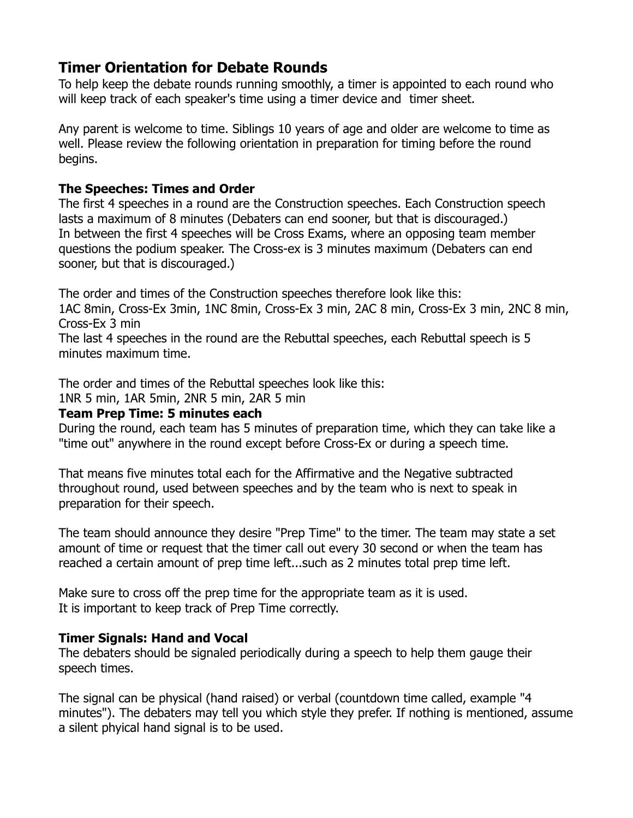# **Timer Orientation for Debate Rounds**

To help keep the debate rounds running smoothly, a timer is appointed to each round who will keep track of each speaker's time using a timer device and timer sheet.

Any parent is welcome to time. Siblings 10 years of age and older are welcome to time as well. Please review the following orientation in preparation for timing before the round begins.

### **The Speeches: Times and Order**

The first 4 speeches in a round are the Construction speeches. Each Construction speech lasts a maximum of 8 minutes (Debaters can end sooner, but that is discouraged.) In between the first 4 speeches will be Cross Exams, where an opposing team member questions the podium speaker. The Cross-ex is 3 minutes maximum (Debaters can end sooner, but that is discouraged.)

The order and times of the Construction speeches therefore look like this:

1AC 8min, Cross-Ex 3min, 1NC 8min, Cross-Ex 3 min, 2AC 8 min, Cross-Ex 3 min, 2NC 8 min, Cross-Ex 3 min

The last 4 speeches in the round are the Rebuttal speeches, each Rebuttal speech is 5 minutes maximum time.

The order and times of the Rebuttal speeches look like this:

1NR 5 min, 1AR 5min, 2NR 5 min, 2AR 5 min

#### **Team Prep Time: 5 minutes each**

During the round, each team has 5 minutes of preparation time, which they can take like a "time out" anywhere in the round except before Cross-Ex or during a speech time.

That means five minutes total each for the Affirmative and the Negative subtracted throughout round, used between speeches and by the team who is next to speak in preparation for their speech.

The team should announce they desire "Prep Time" to the timer. The team may state a set amount of time or request that the timer call out every 30 second or when the team has reached a certain amount of prep time left...such as 2 minutes total prep time left.

Make sure to cross off the prep time for the appropriate team as it is used. It is important to keep track of Prep Time correctly.

## **Timer Signals: Hand and Vocal**

The debaters should be signaled periodically during a speech to help them gauge their speech times.

The signal can be physical (hand raised) or verbal (countdown time called, example "4 minutes"). The debaters may tell you which style they prefer. If nothing is mentioned, assume a silent phyical hand signal is to be used.